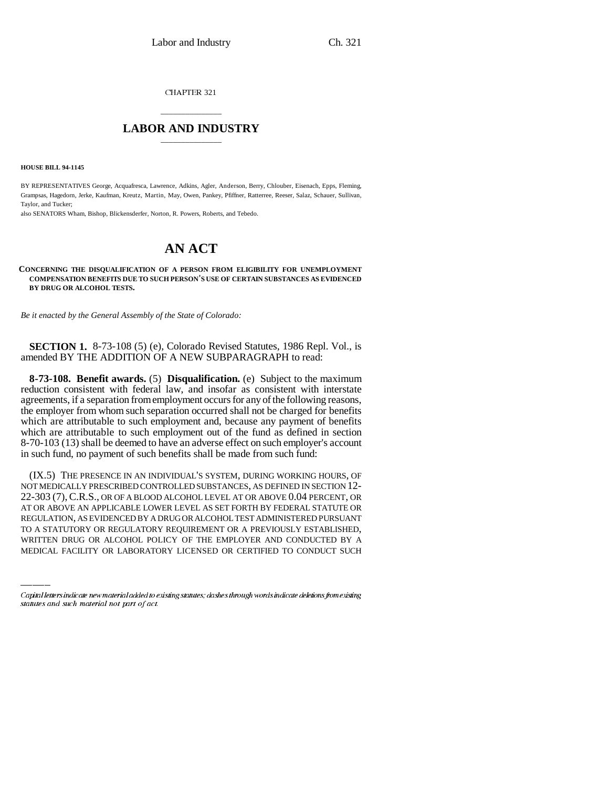CHAPTER 321

## \_\_\_\_\_\_\_\_\_\_\_\_\_\_\_ **LABOR AND INDUSTRY** \_\_\_\_\_\_\_\_\_\_\_\_\_\_\_

**HOUSE BILL 94-1145**

BY REPRESENTATIVES George, Acquafresca, Lawrence, Adkins, Agler, Anderson, Berry, Chlouber, Eisenach, Epps, Fleming, Grampsas, Hagedorn, Jerke, Kaufman, Kreutz, Martin, May, Owen, Pankey, Pfiffner, Ratterree, Reeser, Salaz, Schauer, Sullivan, Taylor, and Tucker;

also SENATORS Wham, Bishop, Blickensderfer, Norton, R. Powers, Roberts, and Tebedo.

## **AN ACT**

## **CONCERNING THE DISQUALIFICATION OF A PERSON FROM ELIGIBILITY FOR UNEMPLOYMENT COMPENSATION BENEFITS DUE TO SUCH PERSON'S USE OF CERTAIN SUBSTANCES AS EVIDENCED BY DRUG OR ALCOHOL TESTS.**

*Be it enacted by the General Assembly of the State of Colorado:*

**SECTION 1.** 8-73-108 (5) (e), Colorado Revised Statutes, 1986 Repl. Vol., is amended BY THE ADDITION OF A NEW SUBPARAGRAPH to read:

**8-73-108. Benefit awards.** (5) **Disqualification.** (e) Subject to the maximum reduction consistent with federal law, and insofar as consistent with interstate agreements, if a separation from employment occurs for any of the following reasons, the employer from whom such separation occurred shall not be charged for benefits which are attributable to such employment and, because any payment of benefits which are attributable to such employment out of the fund as defined in section 8-70-103 (13) shall be deemed to have an adverse effect on such employer's account in such fund, no payment of such benefits shall be made from such fund:

AT OR ABOVE AN APPLICABLE LOWER LEVEL AS SET FORTH BY FEDERAL STATUTE OR (IX.5) THE PRESENCE IN AN INDIVIDUAL'S SYSTEM, DURING WORKING HOURS, OF NOT MEDICALLY PRESCRIBED CONTROLLED SUBSTANCES, AS DEFINED IN SECTION 12- 22-303 (7),C.R.S., OR OF A BLOOD ALCOHOL LEVEL AT OR ABOVE 0.04 PERCENT, OR REGULATION, AS EVIDENCED BY A DRUG OR ALCOHOL TEST ADMINISTERED PURSUANT TO A STATUTORY OR REGULATORY REQUIREMENT OR A PREVIOUSLY ESTABLISHED, WRITTEN DRUG OR ALCOHOL POLICY OF THE EMPLOYER AND CONDUCTED BY A MEDICAL FACILITY OR LABORATORY LICENSED OR CERTIFIED TO CONDUCT SUCH

Capital letters indicate new material added to existing statutes; dashes through words indicate deletions from existing statutes and such material not part of act.